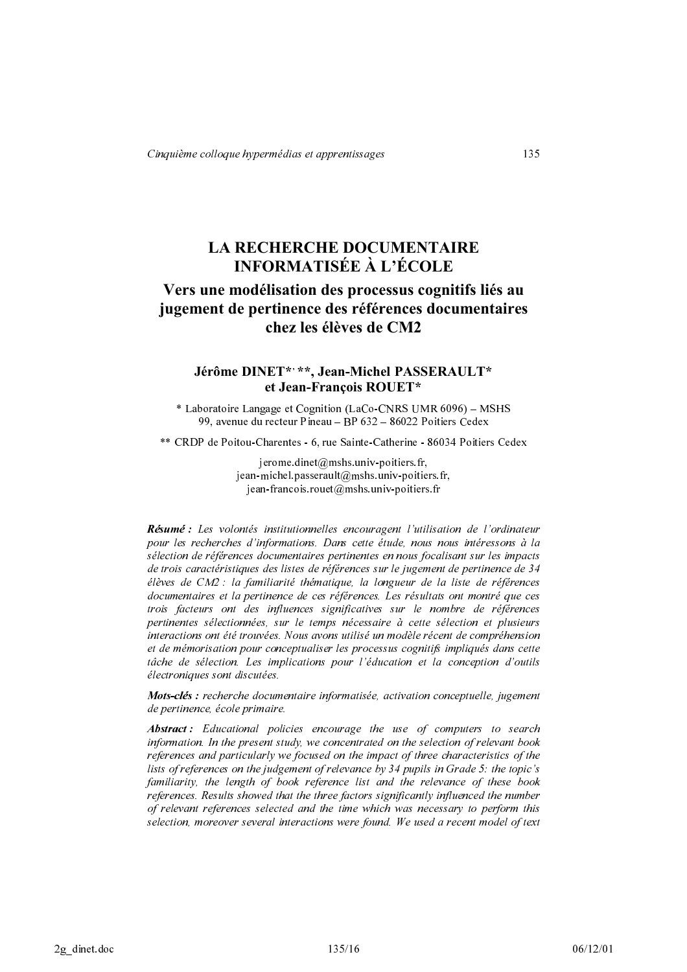# **LA RECHERCHE DOCUMENTAIRE INFORMATISÉE À L'ÉCOLE**

# Vers une modélisation des processus cognitifs liés au jugement de pertinence des références documentaires chez les élèves de CM2

# Jérôme DINET\*' \*\*, Jean-Michel PASSERAULT\* et Jean-François ROUET\*

\* Laboratoire Langage et Cognition (LaCo-CNRS UMR 6096) – MSHS 99, avenue du recteur Pineau - BP 632 - 86022 Poitiers Cedex

\*\* CRDP de Poitou-Charentes - 6, rue Sainte-Catherine - 86034 Poitiers Cedex

jerome.dinet@mshs.univ-poitiers.fr, jean-michel.passerault@mshs.univ-poitiers.fr,  $i$ ean-francois.rouet@mshs.univ-poitiers.fr

Résumé : Les volontés institutionnelles encouragent l'utilisation de l'ordinateur pour les recherches d'informations. Dans cette étude, nous nous intéressons à la sélection de références documentaires pertinentes en nous focalisant sur les impacts de trois caractéristiques des listes de références sur le jugement de pertinence de 34 élèves de CM2 : la familiarité thématique, la longueur de la liste de références documentaires et la pertinence de ces références. Les résultats ont montré que ces trois facteurs ont des influences significatives sur le nombre de références pertinentes sélectionnées, sur le temps nécessaire à cette sélection et plusieurs interactions ont été trouvées. Nous avons utilisé un modèle récent de compréhension et de mémorisation pour conceptualiser les processus cognitifs impliqués dans cette tâche de sélection. Les implications pour l'éducation et la conception d'outils électroniques sont discutées.

Mots-clés : recherche documentaire informatisée, activation conceptuelle, jugement de pertinence, école primaire.

**Abstract:** Educational policies encourage the use of computers to search information. In the present study, we concentrated on the selection of relevant book references and particularly we focused on the impact of three characteristics of the lists of references on the judgement of relevance by 34 pupils in Grade 5: the topic's familiarity, the length of book reference list and the relevance of these book references. Results showed that the three factors significantly influenced the number of relevant references selected and the time which was necessary to perform this selection, moreover several interactions were found. We used a recent model of text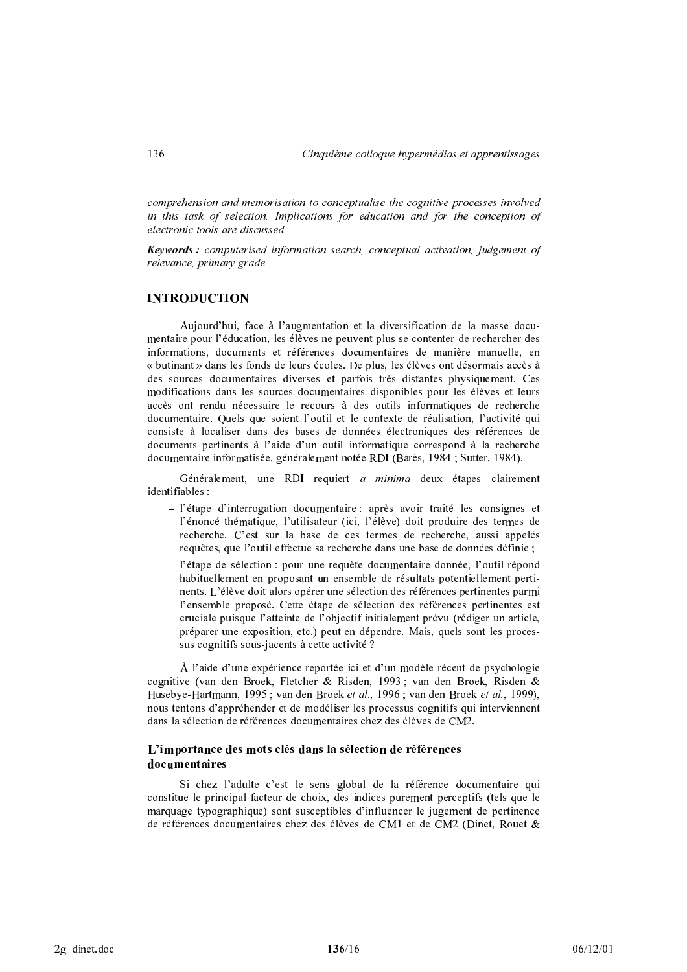comprehension and memorisation to conceptualise the cognitive processes involved in this task of selection. Implications for education and for the conception of electronic tools are discussed.

**Keywords:** computerised information search, conceptual activation, judgement of relevance, primary grade.

# **INTRODUCTION**

Aujourd'hui, face à l'augmentation et la diversification de la masse documentaire pour l'éducation, les élèves ne peuvent plus se contenter de rechercher des informations, documents et références documentaires de manière manuelle, en « butinant » dans les fonds de leurs écoles. De plus, les élèves ont désormais accès à des sources documentaires diverses et parfois très distantes physiquement. Ces modifications dans les sources documentaires disponibles pour les élèves et leurs accès ont rendu nécessaire le recours à des outils informatiques de recherche documentaire. Quels que soient l'outil et le contexte de réalisation, l'activité qui consiste à localiser dans des bases de données électroniques des références de documents pertinents à l'aide d'un outil informatique correspond à la recherche documentaire informatisée, généralement notée RDI (Barès, 1984 ; Sutter, 1984).

Généralement, une RDI requiert a minima deux étapes clairement identifiables :

- $-$  l'étape d'interrogation documentaire : après avoir traité les consignes et l'énoncé thématique, l'utilisateur (ici, l'élève) doit produire des termes de recherche. C'est sur la base de ces termes de recherche, aussi appelés requêtes, que l'outil effectue sa recherche dans une base de données définie ;
- l'étape de sélection : pour une requête documentaire donnée, l'outil répond habituellement en proposant un ensemble de résultats potentiellement pertinents. L'élève doit alors opérer une sélection des références pertinentes parmi l'ensemble proposé. Cette étape de sélection des références pertinentes est cruciale puisque l'atteinte de l'objectif initialement prévu (rédiger un article, préparer une exposition, etc.) peut en dépendre. Mais, quels sont les processus cognitifs sous-jacents à cette activité ?

À l'aide d'une expérience reportée ici et d'un modèle récent de psychologie cognitive (van den Broek, Fletcher & Risden, 1993; van den Broek, Risden & Husebye-Hartmann, 1995; van den Broek et al., 1996; van den Broek et al., 1999), nous tentons d'appréhender et de modéliser les processus cognitifs qui interviennent dans la sélection de références documentaires chez des élèves de CM2.

## L'importance des mots clés dans la sélection de références documentaires

Si chez l'adulte c'est le sens global de la référence documentaire qui constitue le principal facteur de choix, des indices purement perceptifs (tels que le marquage typographique) sont susceptibles d'influencer le jugement de pertinence de références documentaires chez des élèves de CM1 et de CM2 (Dinet, Rouet &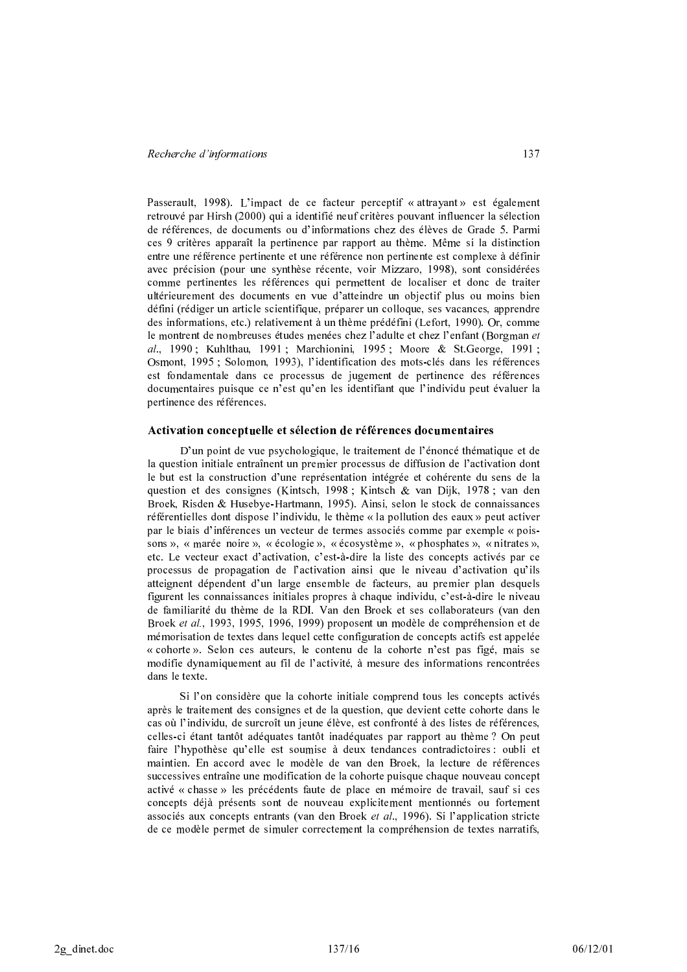Passerault, 1998). L'impact de ce facteur perceptif « attrayant » est également retrouvé par Hirsh (2000) qui a identifié neuf critères pouvant influencer la sélection de références, de documents ou d'informations chez des élèves de Grade 5. Parmi ces 9 critères apparaît la pertinence par rapport au thème. Même si la distinction entre une référence pertinente et une référence non pertinente est complexe à définir avec précision (pour une synthèse récente, voir Mizzaro, 1998), sont considérées comme pertinentes les références qui permettent de localiser et donc de traiter ultérieurement des documents en vue d'atteindre un objectif plus ou moins bien défini (rédiger un article scientifique, préparer un colloque, ses vacances, apprendre des informations, etc.) relativement à un thème prédéfini (Lefort, 1990). Or, comme le montrent de nombreuses études menées chez l'adulte et chez l'enfant (Borgman et al., 1990; Kuhlthau, 1991; Marchionini, 1995; Moore & St. George, 1991; Osmont, 1995 ; Solomon, 1993), l'identification des mots-clés dans les références est fondamentale dans ce processus de jugement de pertinence des références documentaires puisque ce n'est qu'en les identifiant que l'individu peut évaluer la pertinence des références.

#### Activation conceptuelle et sélection de références documentaires

D'un point de vue psychologique, le traitement de l'énoncé thématique et de la question initiale entraînent un premier processus de diffusion de l'activation dont le but est la construction d'une représentation intégrée et cohérente du sens de la question et des consignes (Kintsch, 1998; Kintsch & van Dijk, 1978; van den Broek, Risden & Husebye-Hartmann, 1995). Ainsi, selon le stock de connaissances référentielles dont dispose l'individu, le thème « la pollution des eaux » peut activer par le biais d'inférences un vecteur de termes associés comme par exemple « poissons », « marée noire », « écologie », « écosystème », « phosphates », « nitrates », etc. Le vecteur exact d'activation, c'est-à-dire la liste des concepts activés par ce processus de propagation de l'activation ainsi que le niveau d'activation qu'ils atteignent dépendent d'un large ensemble de facteurs, au premier plan desquels figurent les connaissances initiales propres à chaque individu, c'est-à-dire le niveau de familiarité du thème de la RDI. Van den Broek et ses collaborateurs (van den Broek et al., 1993, 1995, 1996, 1999) proposent un modèle de compréhension et de mémorisation de textes dans lequel cette configuration de concepts actifs est appelée « cohorte ». Selon ces auteurs, le contenu de la cohorte n'est pas figé, mais se modifie dynamiquement au fil de l'activité, à mesure des informations rencontrées dans le texte.

Si l'on considère que la cohorte initiale comprend tous les concepts activés après le traitement des consignes et de la question, que devient cette cohorte dans le cas où l'individu, de surcroît un jeune élève, est confronté à des listes de références, celles-ci étant tantôt adéquates tantôt inadéquates par rapport au thème ? On peut faire l'hypothèse qu'elle est soumise à deux tendances contradictoires : oubli et maintien. En accord avec le modèle de van den Broek, la lecture de références successives entraîne une modification de la cohorte puisque chaque nouveau concept activé « chasse » les précédents faute de place en mémoire de travail, sauf si ces concepts déjà présents sont de nouveau explicitement mentionnés ou fortement associés aux concepts entrants (van den Broek et al., 1996). Si l'application stricte de ce modèle permet de simuler correctement la compréhension de textes narratifs,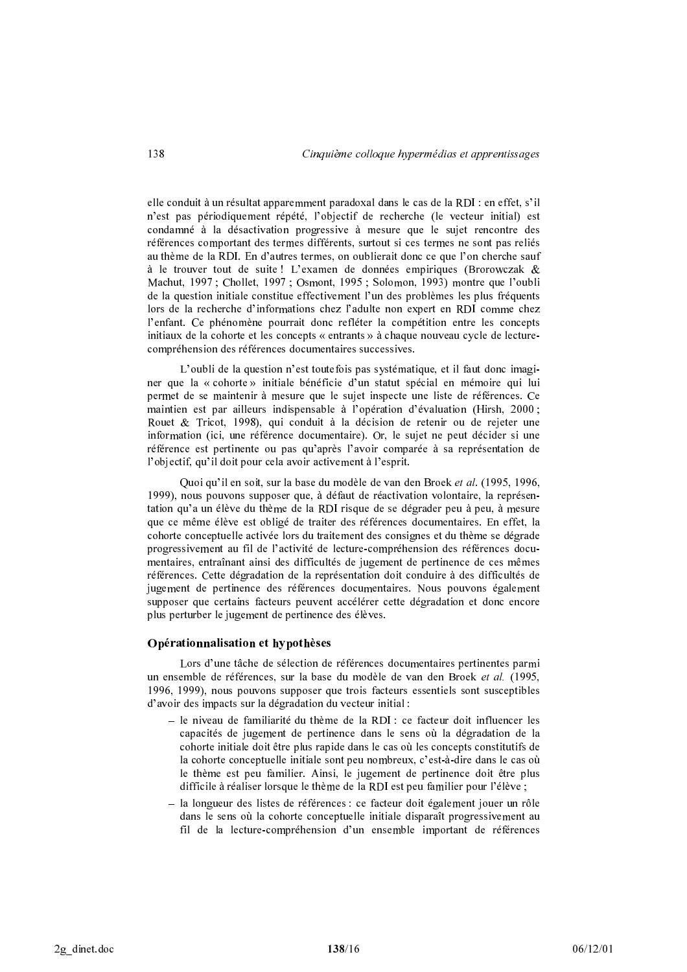elle conduit à un résultat apparemment paradoxal dans le cas de la RDI : en effet, s'il n'est pas périodiquement répété, l'objectif de recherche (le vecteur initial) est condamné à la désactivation progressive à mesure que le sujet rencontre des références comportant des termes différents, surtout si ces termes ne sont pas reliés au thème de la RDI. En d'autres termes, on oublierait donc ce que l'on cherche sauf à le trouver tout de suite ! L'examen de données empiriques (Brorowczak & Machut, 1997; Chollet, 1997; Osmont, 1995; Solomon, 1993) montre que l'oubli de la question initiale constitue effectivement l'un des problèmes les plus fréquents lors de la recherche d'informations chez l'adulte non expert en RDI comme chez l'enfant. Ce phénomène pourrait donc refléter la compétition entre les concepts initiaux de la cohorte et les concepts « entrants » à chaque nouveau cycle de lecturecompréhension des références documentaires successives.

L'oubli de la question n'est toutefois pas systématique, et il faut donc imaginer que la « cohorte » initiale bénéficie d'un statut spécial en mémoire qui lui permet de se maintenir à mesure que le sujet inspecte une liste de références. Ce maintien est par ailleurs indispensable à l'opération d'évaluation (Hirsh, 2000 ; Rouet & Tricot, 1998), qui conduit à la décision de retenir ou de rejeter une information (ici, une référence documentaire). Or, le sujet ne peut décider si une référence est pertinente ou pas qu'après l'avoir comparée à sa représentation de l'objectif, qu'il doit pour cela avoir activement à l'esprit.

Quoi qu'il en soit, sur la base du modèle de van den Broek et al. (1995, 1996, 1999), nous pouvons supposer que, à défaut de réactivation volontaire, la représentation qu'a un élève du thème de la RDI risque de se dégrader peu à peu, à mesure que ce même élève est obligé de traiter des références documentaires. En effet, la cohorte conceptuelle activée lors du traitement des consignes et du thème se dégrade progressivement au fil de l'activité de lecture-compréhension des références documentaires, entraînant ainsi des difficultés de jugement de pertinence de ces mêmes références. Cette dégradation de la représentation doit conduire à des difficultés de jugement de pertinence des références documentaires. Nous pouvons également supposer que certains facteurs peuvent accélérer cette dégradation et donc encore plus perturber le jugement de pertinence des élèves.

#### Opérationnalisation et hypothèses

Lors d'une tâche de sélection de références documentaires pertinentes parmi un ensemble de références, sur la base du modèle de van den Broek et al. (1995, 1996, 1999), nous pouvons supposer que trois facteurs essentiels sont susceptibles d'avoir des impacts sur la dégradation du vecteur initial :

- le niveau de familiarité du thème de la RDI : ce facteur doit influencer les capacités de jugement de pertinence dans le sens où la dégradation de la cohorte initiale doit être plus rapide dans le cas où les concepts constitutifs de la cohorte conceptuelle initiale sont peu nombreux, c'est-à-dire dans le cas où le thème est peu familier. Ainsi, le jugement de pertinence doit être plus difficile à réaliser lorsque le thème de la RDI est peu familier pour l'élève ;
- la longueur des listes de références : ce facteur doit également jouer un rôle dans le sens où la cohorte conceptuelle initiale disparaît progressivement au fil de la lecture-compréhension d'un ensemble important de références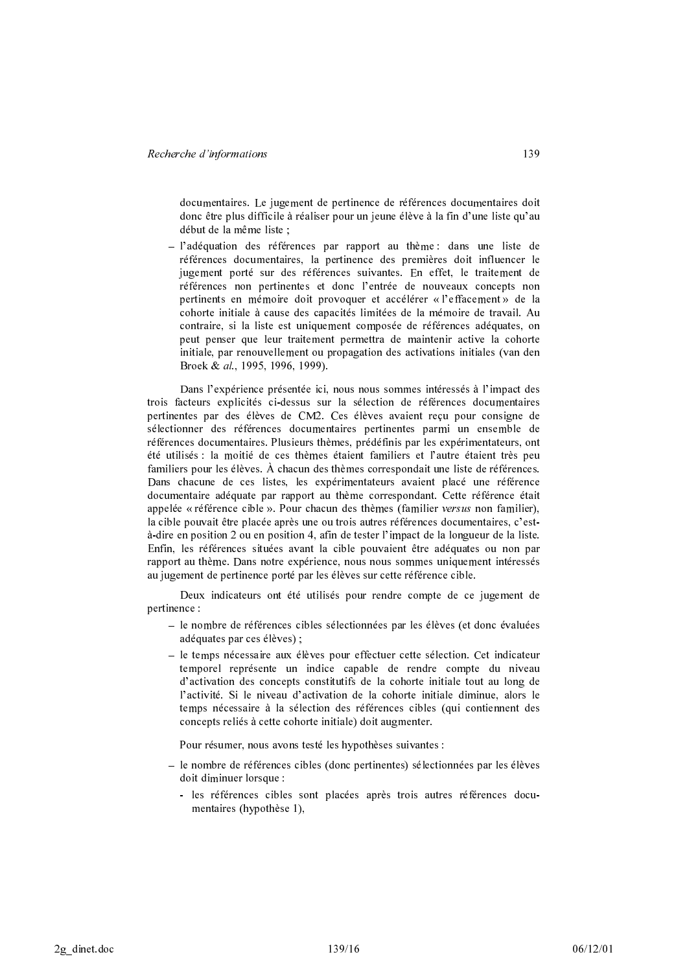documentaires. Le jugement de pertinence de références documentaires doit donc être plus difficile à réaliser pour un jeune élève à la fin d'une liste qu'au début de la même liste ;

 $-$  l'adéquation des références par rapport au thème : dans une liste de références documentaires, la pertinence des premières doit influencer le jugement porté sur des références suivantes. En effet, le traitement de références non pertinentes et donc l'entrée de nouveaux concepts non pertinents en mémoire doit provoquer et accélérer « l'effacement » de la cohorte initiale à cause des capacités limitées de la mémoire de travail. Au contraire, si la liste est uniquement composée de références adéquates, on peut penser que leur traitement permettra de maintenir active la cohorte initiale, par renouvellement ou propagation des activations initiales (van den Broek & al., 1995, 1996, 1999).

Dans l'expérience présentée ici, nous nous sommes intéressés à l'impact des trois facteurs explicités ci-dessus sur la sélection de références documentaires pertinentes par des élèves de CM2. Ces élèves avaient recu pour consigne de sélectionner des références documentaires pertinentes parmi un ensemble de références documentaires. Plusieurs thèmes, prédéfinis par les expérimentateurs, ont été utilisés : la moitié de ces thèmes étaient familiers et l'autre étaient très peu familiers pour les élèves. À chacun des thèmes correspondait une liste de références. Dans chacune de ces listes, les expérimentateurs avaient placé une référence documentaire adéquate par rapport au thème correspondant. Cette référence était appelée « référence cible ». Pour chacun des thèmes (familier versus non familier), la cible pouvait être placée après une ou trois autres références documentaires, c'està-dire en position 2 ou en position 4, afin de tester l'impact de la longueur de la liste. Enfin, les références situées avant la cible pouvaient être adéquates ou non par rapport au thème. Dans notre expérience, nous nous sommes uniquement intéressés au jugement de pertinence porté par les élèves sur cette référence cible.

Deux indicateurs ont été utilisés pour rendre compte de ce jugement de pertinence:

- le nombre de références cibles sélectionnées par les élèves (et donc évaluées adéquates par ces élèves);
- le temps nécessaire aux élèves pour effectuer cette sélection. Cet indicateur temporel représente un indice capable de rendre compte du niveau d'activation des concepts constitutifs de la cohorte initiale tout au long de l'activité. Si le niveau d'activation de la cohorte initiale diminue, alors le temps nécessaire à la sélection des références cibles (qui contiennent des concepts reliés à cette cohorte initiale) doit augmenter.

Pour résumer, nous avons testé les hypothèses suivantes :

- le nombre de références cibles (donc pertinentes) sélectionnées par les élèves doit diminuer lorsque :
	- les références cibles sont placées après trois autres références documentaires (hypothèse 1),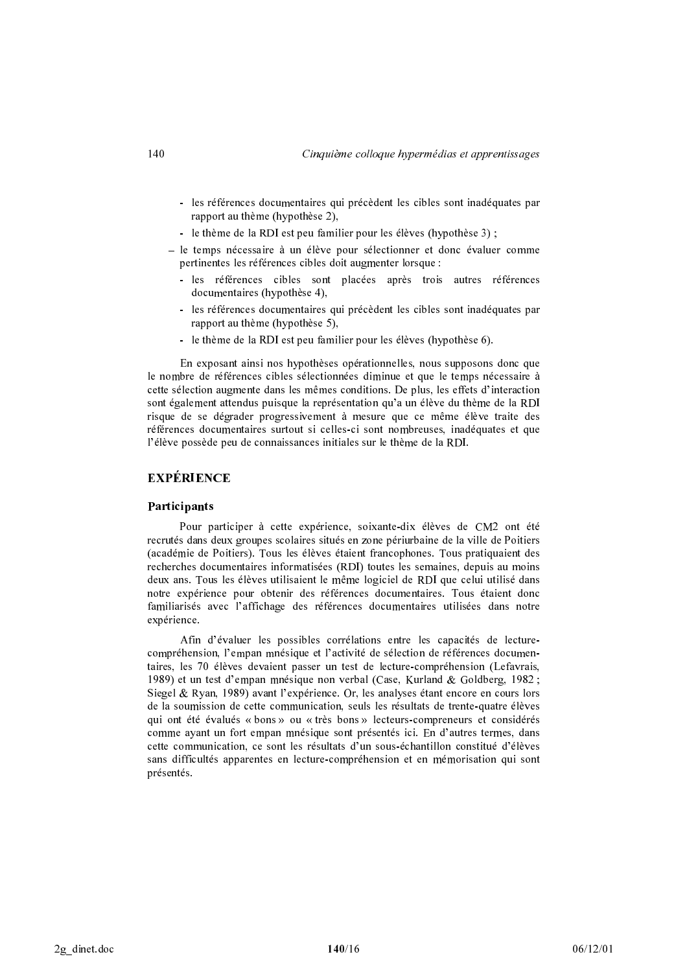- les références documentaires qui précèdent les cibles sont inadéquates par rapport au thème (hypothèse 2),
- le thème de la RDI est peu familier pour les élèves (hypothèse 3) ;
- le temps nécessaire à un élève pour sélectionner et donc évaluer comme pertinentes les références cibles doit augmenter lorsque :
	- les références cibles sont placées après trois autres références documentaires (hypothèse 4).
	- les références documentaires qui précèdent les cibles sont inadéquates par rapport au thème (hypothèse 5),
	- le thème de la RDI est peu familier pour les élèves (hypothèse 6).

En exposant ainsi nos hypothèses opérationnelles, nous supposons donc que le nombre de références cibles sélectionnées diminue et que le temps nécessaire à cette sélection augmente dans les mêmes conditions. De plus, les effets d'interaction sont également attendus puisque la représentation qu'a un élève du thème de la RDI risque de se dégrader progressivement à mesure que ce même élève traite des références documentaires surtout si celles-ci sont nombreuses, inadéquates et que l'élève possède peu de connaissances initiales sur le thème de la RDI.

# **EXPÉRIENCE**

#### Participants

Pour participer à cette expérience, soixante-dix élèves de CM2 ont été recrutés dans deux groupes scolaires situés en zone périurbaine de la ville de Poitiers (académie de Poitiers). Tous les élèves étaient francophones. Tous pratiquaient des recherches documentaires informatisées (RDI) toutes les semaines, depuis au moins deux ans. Tous les élèves utilisaient le même logiciel de RDI que celui utilisé dans notre expérience pour obtenir des références documentaires. Tous étaient donc familiarisés avec l'affichage des références documentaires utilisées dans notre expérience.

Afin d'évaluer les possibles corrélations entre les capacités de lecturecompréhension, l'empan mnésique et l'activité de sélection de références documentaires, les 70 élèves devaient passer un test de lecture-compréhension (Lefavrais, 1989) et un test d'empan mnésique non verbal (Case, Kurland & Goldberg, 1982 ; Siegel & Ryan, 1989) avant l'expérience. Or, les analyses étant encore en cours lors de la soumission de cette communication, seuls les résultats de trente-quatre élèves qui ont été évalués « bons » ou « très bons » lecteurs-compreneurs et considérés comme ayant un fort empan mnésique sont présentés ici. En d'autres termes, dans cette communication, ce sont les résultats d'un sous-échantillon constitué d'élèves sans difficultés apparentes en lecture-compréhension et en mémorisation qui sont présentés.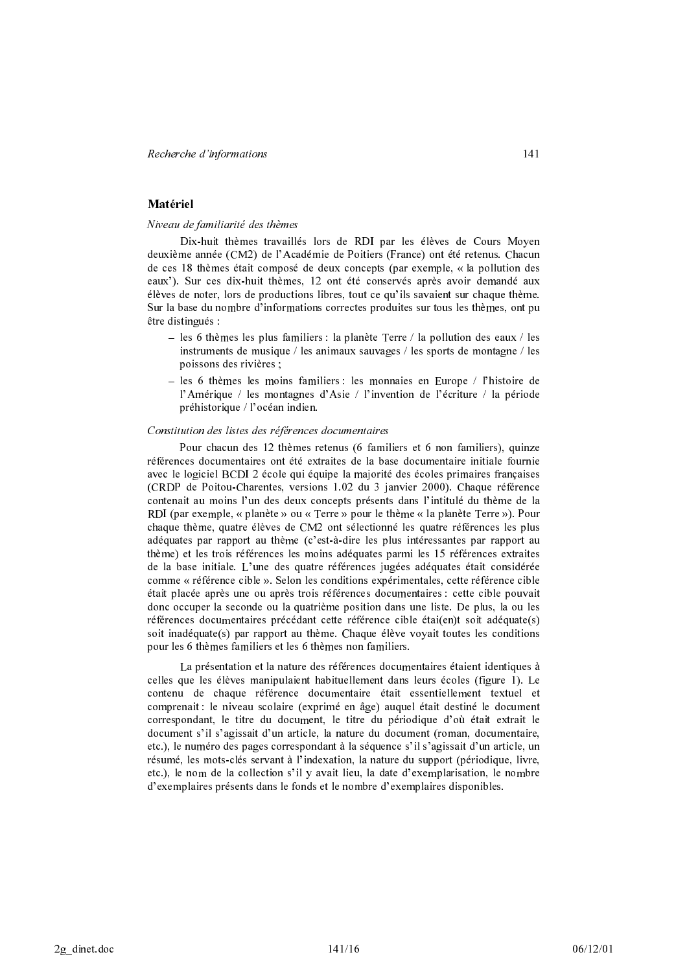## Matériel

#### Niveau de familiarité des thèmes

Dix-huit thèmes travaillés lors de RDI par les élèves de Cours Moven deuxième année (CM2) de l'Académie de Poitiers (France) ont été retenus. Chacun de ces 18 thèmes était composé de deux concepts (par exemple, « la pollution des eaux'). Sur ces dix-huit thèmes, 12 ont été conservés après avoir demandé aux élèves de noter, lors de productions libres, tout ce qu'ils savaient sur chaque thème. Sur la base du nombre d'informations correctes produites sur tous les thèmes, ont pu être distingués :

- les 6 thèmes les plus familiers : la planète Terre / la pollution des eaux / les instruments de musique / les animaux sauvages / les sports de montagne / les poissons des rivières ;
- les 6 thèmes les moins familiers : les monnaies en Europe / l'histoire de l'Amérique / les montagnes d'Asie / l'invention de l'écriture / la période préhistorique / l'océan indien.

#### Constitution des listes des références documentaires

Pour chacun des 12 thèmes retenus (6 familiers et 6 non familiers), quinze références documentaires ont été extraites de la base documentaire initiale fournie avec le logiciel BCDI 2 école qui équipe la majorité des écoles primaires françaises (CRDP de Poitou-Charentes, versions 1.02 du 3 janvier 2000). Chaque référence contenait au moins l'un des deux concepts présents dans l'intitulé du thème de la RDI (par exemple, « planète » ou « Terre » pour le thème « la planète Terre »). Pour chaque thème, quatre élèves de CM2 ont sélectionné les quatre références les plus adéquates par rapport au thème (c'est-à-dire les plus intéressantes par rapport au thème) et les trois références les moins adéquates parmi les 15 références extraites de la base initiale. L'une des quatre références jugées adéquates était considérée comme « référence cible ». Selon les conditions expérimentales, cette référence cible était placée après une ou après trois références documentaires : cette cible pouvait donc occuper la seconde ou la quatrième position dans une liste. De plus, la ou les références documentaires précédant cette référence cible étai(en)t soit adéquate(s) soit inadéquate(s) par rapport au thème. Chaque élève voyait toutes les conditions pour les 6 thèmes familiers et les 6 thèmes non familiers.

La présentation et la nature des références documentaires étaient identiques à celles que les élèves manipulaient habituellement dans leurs écoles (figure 1). Le contenu de chaque référence documentaire était essentiellement textuel et comprenait : le niveau scolaire (exprimé en âge) auquel était destiné le document correspondant, le titre du document, le titre du périodique d'où était extrait le document s'il s'agissait d'un article, la nature du document (roman, documentaire, etc.), le numéro des pages correspondant à la séquence s'il s'agissait d'un article, un résumé, les mots-clés servant à l'indexation, la nature du support (périodique, livre, etc.), le nom de la collection s'il y avait lieu, la date d'exemplarisation, le nombre d'exemplaires présents dans le fonds et le nombre d'exemplaires disponibles.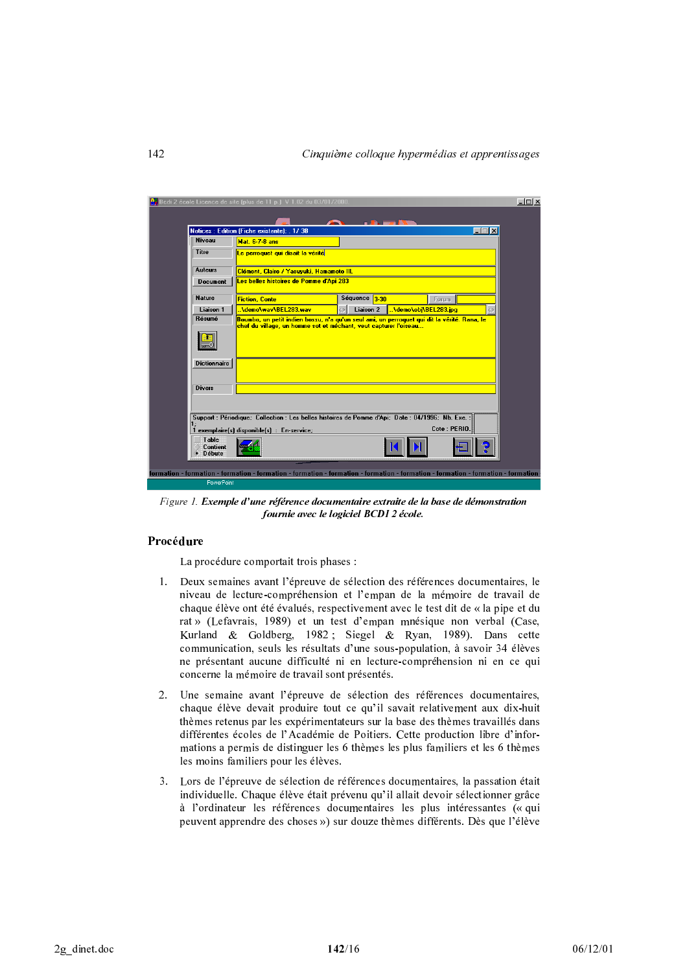| <b>Niveau</b>       | Notices: Edition (Fiche existante); . 1/38<br><b>Mat. 6-7-8 ans</b> | $\Box$                                                                                                            |
|---------------------|---------------------------------------------------------------------|-------------------------------------------------------------------------------------------------------------------|
| Titre               | Le perroquet qui disait la vérité                                   |                                                                                                                   |
| Auteurs             | Clément, Claire / Yasuvuki, Hamamoto III.                           |                                                                                                                   |
| <b>Document</b>     | <mark>Les belles histoires de Pomme d'Api 283</mark>                |                                                                                                                   |
| <b>Nature</b>       | <b>Fiction, Conte</b>                                               | Séquence 3-30<br>Forum                                                                                            |
| Liaison 1           | <b>Ademo\wav\BEL283.wav</b>                                         | <b>Liaison 2</b><br>\demo\obi\BEL283.jpg                                                                          |
| <b>Dictionnaire</b> |                                                                     |                                                                                                                   |
| <b>Divers</b>       |                                                                     |                                                                                                                   |
|                     |                                                                     | Support : Périodique; Collection : Les belles histoires de Pomme d'Api; Date : 04/1996; Nb. Exe. :<br>Cote: PERIO |
| 1                   | exemplaire(s) disponible(s) : En-service;                           |                                                                                                                   |

Figure 1. Exemple d'une référence documentaire extraite de la base de démonstration fournie avec le logiciel BCDI 2 école.

# Procédure

La procédure comportait trois phases :

- 1. Deux semaines avant l'épreuve de sélection des références documentaires, le niveau de lecture-compréhension et l'empan de la mémoire de travail de chaque élève ont été évalués, respectivement avec le test dit de « la pipe et du rat » (Lefavrais, 1989) et un test d'empan mnésique non verbal (Case, Kurland & Goldberg, 1982; Siegel & Ryan, 1989). Dans cette communication, seuls les résultats d'une sous-population, à savoir 34 élèves ne présentant aucune difficulté ni en lecture-compréhension ni en ce qui concerne la mémoire de travail sont présentés.
- 2. Une semaine avant l'épreuve de sélection des références documentaires, chaque élève devait produire tout ce qu'il savait relativement aux dix-huit thèmes retenus par les expérimentateurs sur la base des thèmes travaillés dans différentes écoles de l'Académie de Poitiers. Cette production libre d'informations a permis de distinguer les 6 thèmes les plus familiers et les 6 thèmes les moins familiers pour les élèves.
- $3<sub>1</sub>$ Lors de l'épreuve de sélection de références documentaires, la passation était individuelle. Chaque élève était prévenu qu'il allait devoir sélectionner grâce à l'ordinateur les références documentaires les plus intéressantes (« qui peuvent apprendre des choses ») sur douze thèmes différents. Dès que l'élève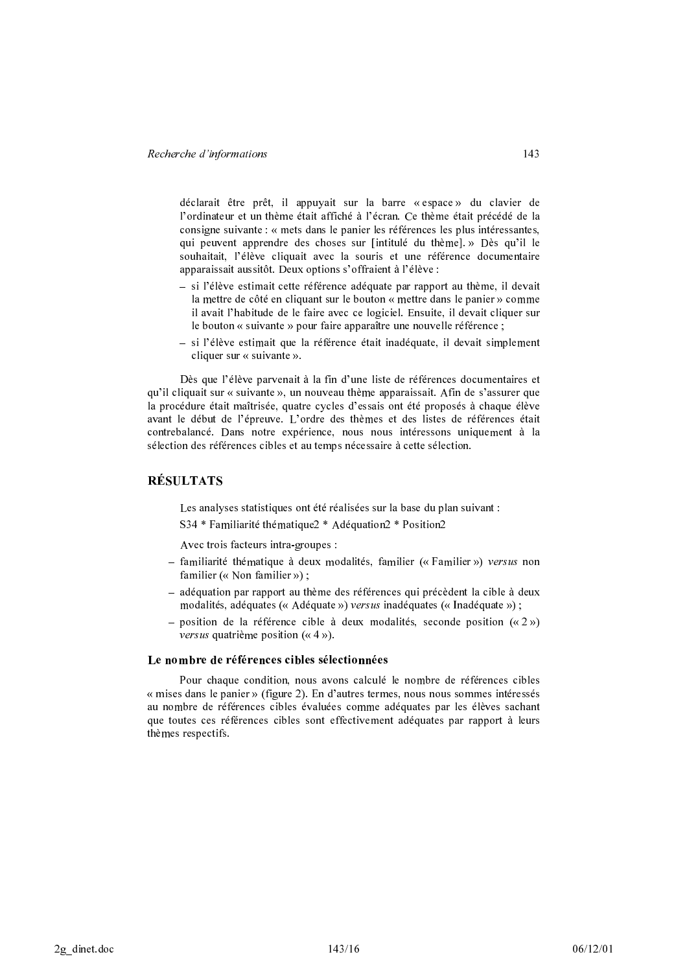déclarait être prêt, il appuyait sur la barre « espace » du clavier de l'ordinateur et un thème était affiché à l'écran. Ce thème était précédé de la consigne suivante : « mets dans le panier les références les plus intéressantes, qui peuvent apprendre des choses sur [intitulé du thème]. » Dès qu'il le souhaitait, l'élève cliquait avec la souris et une référence documentaire apparaissait aussitôt. Deux options s'offraient à l'élève :

- si l'élève estimait cette référence adéquate par rapport au thème, il devait la mettre de côté en cliquant sur le bouton « mettre dans le panier » comme il avait l'habitude de le faire avec ce logiciel. Ensuite, il devait cliquer sur le bouton « suivante » pour faire apparaître une nouvelle référence ;
- si l'élève estimait que la référence était inadéquate, il devait simplement cliquer sur « suivante ».

Dès que l'élève parvenait à la fin d'une liste de références documentaires et qu'il cliquait sur « suivante », un nouveau thème apparaissait. Afin de s'assurer que la procédure était maîtrisée, quatre cycles d'essais ont été proposés à chaque élève avant le début de l'épreuve. L'ordre des thèmes et des listes de références était contrebalancé. Dans notre expérience, nous nous intéressons uniquement à la sélection des références cibles et au temps nécessaire à cette sélection.

# **RÉSULTATS**

Les analyses statistiques ont été réalisées sur la base du plan suivant : S34 \* Familiarité thématique2 \* Adéquation2 \* Position2

Avec trois facteurs intra-groupes :

- familiarité thématique à deux modalités, familier (« Familier ») versus non familier (« Non familier »):
- adéquation par rapport au thème des références qui précèdent la cible à deux modalités, adéquates (« Adéquate ») versus inadéquates (« Inadéquate »);
- position de la référence cible à deux modalités, seconde position  $(\alpha 2 \nu)$ *versus* quatrième position ( $\kappa$  4 »).

#### Le nombre de références cibles sélectionnées

Pour chaque condition, nous avons calculé le nombre de références cibles « mises dans le panier » (figure 2). En d'autres termes, nous nous sommes intéressés au nombre de références cibles évaluées comme adéquates par les élèves sachant que toutes ces références cibles sont effectivement adéquates par rapport à leurs thèmes respectifs.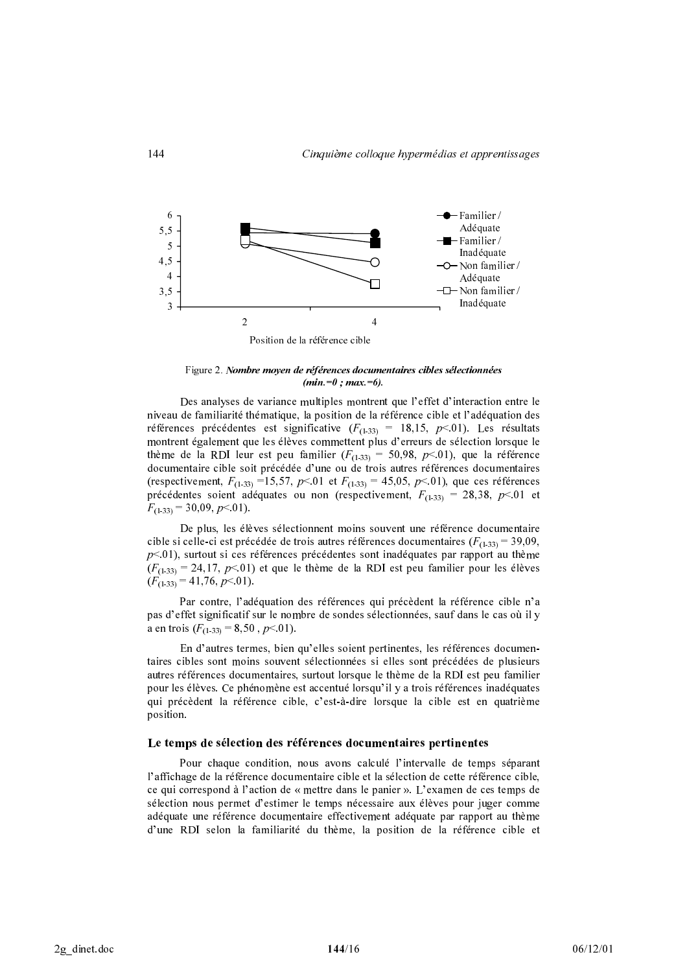

Figure 2. Nombre moyen de références documentaires cibles sélectionnées  $(min=0:max=6)$ .

Des analyses de variance multiples montrent que l'effet d'interaction entre le niveau de familiarité thématique, la position de la référence cible et l'adéquation des références précédentes est significative  $(F_{(1\cdot33)} = 18,15, p<01)$ . Les résultats montrent également que les élèves commettent plus d'erreurs de sélection lorsque le thème de la RDI leur est peu familier  $(F_{(1,3)} = 50,98, p<01)$ , que la référence documentaire cible soit précédée d'une ou de trois autres références documentaires (respectivement,  $F_{(1,33)}$  =15,57, p<0.01 et  $F_{(1,33)}$  = 45,05, p<0.01), que ces références précédentes soient adéquates ou non (respectivement,  $F_{(1\cdot33)} = 28,38, p<01$  et  $F_{(1,33)} = 30,09, p < 01$ ).

De plus, les élèves sélectionnent moins souvent une référence documentaire cible si celle-ci est précédée de trois autres références documentaires ( $F_{(1,33)} = 39,09$ ,  $p<01$ ), surtout si ces références précédentes sont inadéquates par rapport au thème  $(F_{(1\cdot33)} = 24,17, p<01)$  et que le thème de la RDI est peu familier pour les élèves  $(F_{(1\ 33)} = 41,76, p < 01).$ 

Par contre, l'adéquation des références qui précèdent la référence cible n'a pas d'effet significatif sur le nombre de sondes sélectionnées, sauf dans le cas où il y a en trois  $(F_{(1\cdot33)} = 8,50, p<01)$ .

En d'autres termes, bien qu'elles soient pertinentes, les références documentaires cibles sont moins souvent sélectionnées si elles sont précédées de plusieurs autres références documentaires, surtout lorsque le thème de la RDI est peu familier pour les élèves. Ce phénomène est accentué lorsqu'il y a trois références inadéquates qui précèdent la référence cible, c'est-à-dire lorsque la cible est en quatrième position.

#### Le temps de sélection des références documentaires pertinentes

Pour chaque condition, nous avons calculé l'intervalle de temps séparant l'affichage de la référence documentaire cible et la sélection de cette référence cible, ce qui correspond à l'action de « mettre dans le panier ». L'examen de ces temps de sélection nous permet d'estimer le temps nécessaire aux élèves pour juger comme adéquate une référence documentaire effectivement adéquate par rapport au thème d'une RDI selon la familiarité du thème, la position de la référence cible et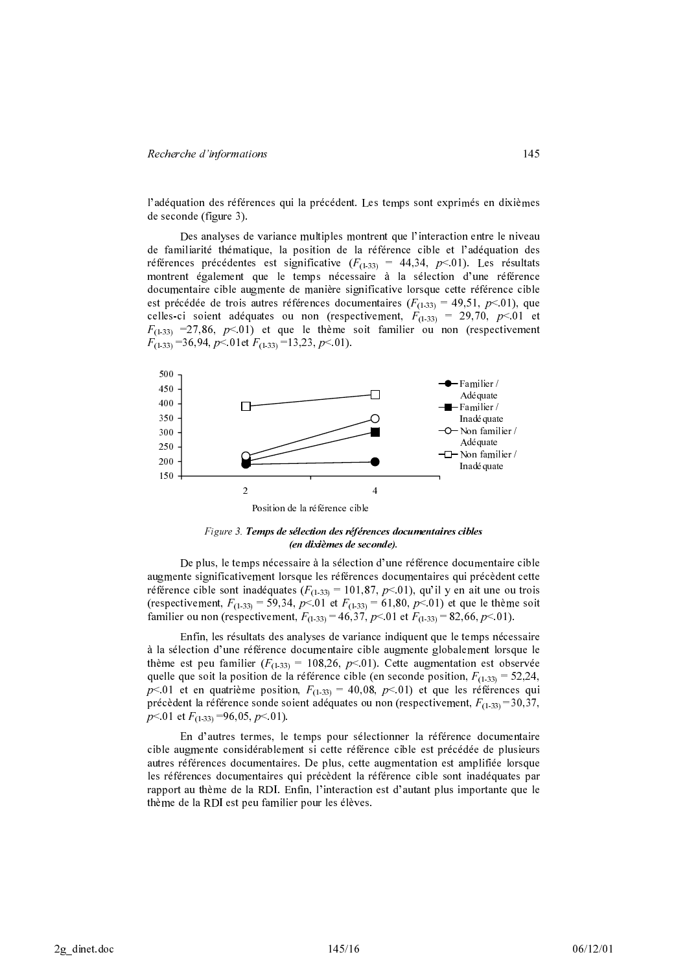l'adéquation des références qui la précédent. Les temps sont exprimés en dixièmes de seconde (figure 3).

Des analyses de variance multiples montrent que l'interaction entre le niveau de familiarité thématique, la position de la référence cible et l'adéquation des références précédentes est significative  $(F_{(1,3)} = 44,34, p<01)$ . Les résultats montrent également que le temps nécessaire à la sélection d'une référence documentaire cible augmente de manière significative lorsque cette référence cible est précédée de trois autres références documentaires ( $F_{(1,33)} = 49,51, p<01$ ), que celles-ci soient adéquates ou non (respectivement,  $F_{(1-33)} = 29,70, p<01$  et  $F_{(1,33)}$  =27,86, p < 01) et que le thème soit familier ou non (respectivement  $F_{(1-33)} = 36,94, p < 01$  et  $F_{(1-33)} = 13,23, p < 01$ .



Figure 3. Temps de sélection des références documentaires cibles (en dixièmes de seconde).

De plus, le temps nécessaire à la sélection d'une référence documentaire cible augmente significativement lorsque les références documentaires qui précèdent cette référence cible sont inadéquates ( $F_{(1\text{-}33)} = 101,87, p<01$ ), qu'il y en ait une ou trois (respectivement,  $F_{(1-33)} = 59,34, p < 01$  et  $F_{(1-33)} = 61,80, p < 01$ ) et que le thème soit familier ou non (respectivement,  $F_{(1,33)} = 46,37, p<01$  et  $F_{(1,33)} = 82,66, p<01$ ).

Enfin, les résultats des analyses de variance indiquent que le temps nécessaire à la sélection d'une référence documentaire cible augmente globalement lorsque le thème est peu familier ( $F_{(1\cdot33)}$  = 108,26, p < 01). Cette augmentation est observée quelle que soit la position de la référence cible (en seconde position,  $F_{(1\text{-}33)} = 52,24$ ,  $p<01$  et en quatrième position,  $F_{(1\cdot33)} = 40,08$ ,  $p<01$ ) et que les références qui précèdent la référence sonde soient adéquates ou non (respectivement,  $F_{(1-33)} = 30,37$ ,  $p<01$  et  $F_{(1,33)} = 96,05, p<01$ ).

En d'autres termes, le temps pour sélectionner la référence documentaire cible augmente considérablement si cette référence cible est précédée de plusieurs autres références documentaires. De plus, cette augmentation est amplifiée lorsque les références documentaires qui précèdent la référence cible sont inadéquates par rapport au thème de la RDI. Enfin, l'interaction est d'autant plus importante que le thème de la RDI est peu familier pour les élèves.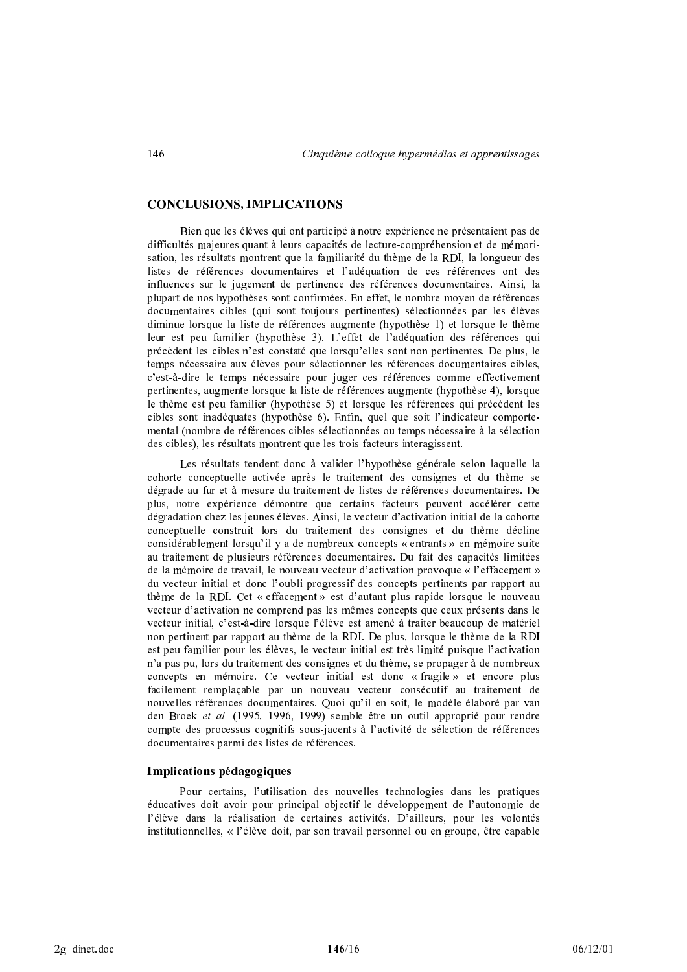## **CONCLUSIONS, IMPLICATIONS**

Bien que les élèves qui ont participé à notre expérience ne présentaient pas de difficultés majeures quant à leurs capacités de lecture-compréhension et de mémorisation, les résultats montrent que la familiarité du thème de la RDI, la longueur des listes de références documentaires et l'adéquation de ces références ont des influences sur le jugement de pertinence des références documentaires. Ainsi, la plupart de nos hypothèses sont confirmées. En effet, le nombre moyen de références documentaires cibles (qui sont toujours pertinentes) sélectionnées par les élèves diminue lorsque la liste de références augmente (hypothèse 1) et lorsque le thème leur est peu familier (hypothèse 3). L'effet de l'adéquation des références qui précèdent les cibles n'est constaté que lorsqu'elles sont non pertinentes. De plus, le temps nécessaire aux élèves pour sélectionner les références documentaires cibles, c'est-à-dire le temps nécessaire pour juger ces références comme effectivement pertinentes, augmente lorsque la liste de références augmente (hypothèse 4), lorsque le thème est peu familier (hypothèse 5) et lorsque les références qui précèdent les cibles sont inadéquates (hypothèse 6). Enfin, quel que soit l'indicateur comportemental (nombre de références cibles sélectionnées ou temps nécessaire à la sélection des cibles), les résultats montrent que les trois facteurs interagissent.

Les résultats tendent donc à valider l'hypothèse générale selon laquelle la cohorte conceptuelle activée après le traitement des consignes et du thème se dégrade au fur et à mesure du traitement de listes de références documentaires. De plus, notre expérience démontre que certains facteurs peuvent accélérer cette dégradation chez les jeunes élèves. Ainsi, le vecteur d'activation initial de la cohorte conceptuelle construit lors du traitement des consignes et du thème décline considérablement lorsqu'il y a de nombreux concepts « entrants » en mémoire suite au traitement de plusieurs références documentaires. Du fait des capacités limitées de la mémoire de travail, le nouveau vecteur d'activation provoque « l'effacement » du vecteur initial et donc l'oubli progressif des concepts pertinents par rapport au thème de la RDI. Cet « effacement » est d'autant plus rapide lorsque le nouveau vecteur d'activation ne comprend pas les mêmes concepts que ceux présents dans le vecteur initial, c'est-à-dire lorsque l'élève est amené à traiter beaucoup de matériel non pertinent par rapport au thème de la RDI. De plus, lorsque le thème de la RDI est peu familier pour les élèves, le vecteur initial est très limité puisque l'activation n'a pas pu, lors du traitement des consignes et du thème, se propager à de nombreux concepts en mémoire. Ce vecteur initial est donc « fragile » et encore plus facilement remplaçable par un nouveau vecteur consécutif au traitement de nouvelles références documentaires. Quoi qu'il en soit, le modèle élaboré par van den Broek et al. (1995, 1996, 1999) semble être un outil approprié pour rendre compte des processus cognitifs sous-jacents à l'activité de sélection de références documentaires parmi des listes de références.

#### Implications pédagogiques

Pour certains, l'utilisation des nouvelles technologies dans les pratiques éducatives doit avoir pour principal objectif le développement de l'autonomie de l'élève dans la réalisation de certaines activités. D'ailleurs, pour les volontés institutionnelles, « l'élève doit, par son travail personnel ou en groupe, être capable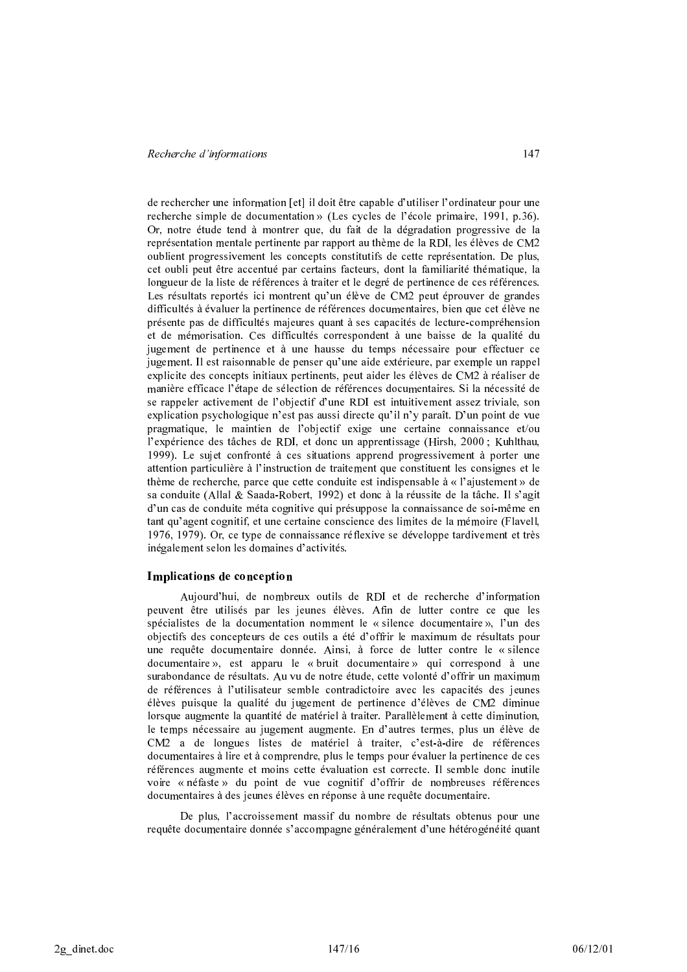de rechercher une information [et] il doit être capable d'utiliser l'ordinateur pour une recherche simple de documentation » (Les cycles de l'école primaire, 1991, p.36). Or, notre étude tend à montrer que, du fait de la dégradation progressive de la représentation mentale pertinente par rapport au thème de la RDI, les élèves de CM2 oublient progressivement les concepts constitutifs de cette représentation. De plus, cet oubli peut être accentué par certains facteurs, dont la familiarité thématique, la longueur de la liste de références à traiter et le degré de pertinence de ces références. Les résultats reportés ici montrent qu'un élève de CM2 peut éprouver de grandes difficultés à évaluer la pertinence de références documentaires, bien que cet élève ne présente pas de difficultés majeures quant à ses capacités de lecture-compréhension et de mémorisation. Ces difficultés correspondent à une baisse de la qualité du jugement de pertinence et à une hausse du temps nécessaire pour effectuer ce jugement. Il est raisonnable de penser qu'une aide extérieure, par exemple un rappel explicite des concepts initiaux pertinents, peut aider les élèves de CM2 à réaliser de manière efficace l'étape de sélection de références documentaires. Si la nécessité de se rappeler activement de l'objectif d'une RDI est intuitivement assez triviale, son explication psychologique n'est pas aussi directe qu'il n'y paraît. D'un point de vue pragmatique, le maintien de l'objectif exige une certaine connaissance et/ou l'expérience des tâches de RDI, et donc un apprentissage (Hirsh, 2000; Kuhlthau, 1999). Le sujet confronté à ces situations apprend progressivement à porter une attention particulière à l'instruction de traitement que constituent les consignes et le thème de recherche, parce que cette conduite est indispensable à « l'ajustement » de sa conduite (Allal & Saada-Robert, 1992) et donc à la réussite de la tâche. Il s'agit d'un cas de conduite méta cognitive qui présuppose la connaissance de soi-même en tant qu'agent cognitif, et une certaine conscience des limites de la mémoire (Flavell, 1976, 1979). Or, ce type de connaissance réflexive se développe tardivement et très inégalement selon les domaines d'activités.

#### Implications de conception

Aujourd'hui, de nombreux outils de RDI et de recherche d'information peuvent être utilisés par les jeunes élèves. Afin de lutter contre ce que les spécialistes de la documentation nomment le « silence documentaire », l'un des objectifs des concepteurs de ces outils a été d'offrir le maximum de résultats pour une requête documentaire donnée. Ainsi, à force de lutter contre le « silence documentaire », est apparu le « bruit documentaire » qui correspond à une surabondance de résultats. Au vu de notre étude, cette volonté d'offrir un maximum de références à l'utilisateur semble contradictoire avec les capacités des jeunes élèves puisque la qualité du jugement de pertinence d'élèves de CM2 diminue lorsque augmente la quantité de matériel à traiter. Parallèlement à cette diminution, le temps nécessaire au jugement augmente. En d'autres termes, plus un élève de CM2 a de longues listes de matériel à traiter, c'est-à-dire de références documentaires à lire et à comprendre, plus le temps pour évaluer la pertinence de ces références augmente et moins cette évaluation est correcte. Il semble donc inutile voire « néfaste » du point de vue cognitif d'offrir de nombreuses références documentaires à des jeunes élèves en réponse à une requête documentaire.

De plus, l'accroissement massif du nombre de résultats obtenus pour une requête documentaire donnée s'accompagne généralement d'une hétérogénéité quant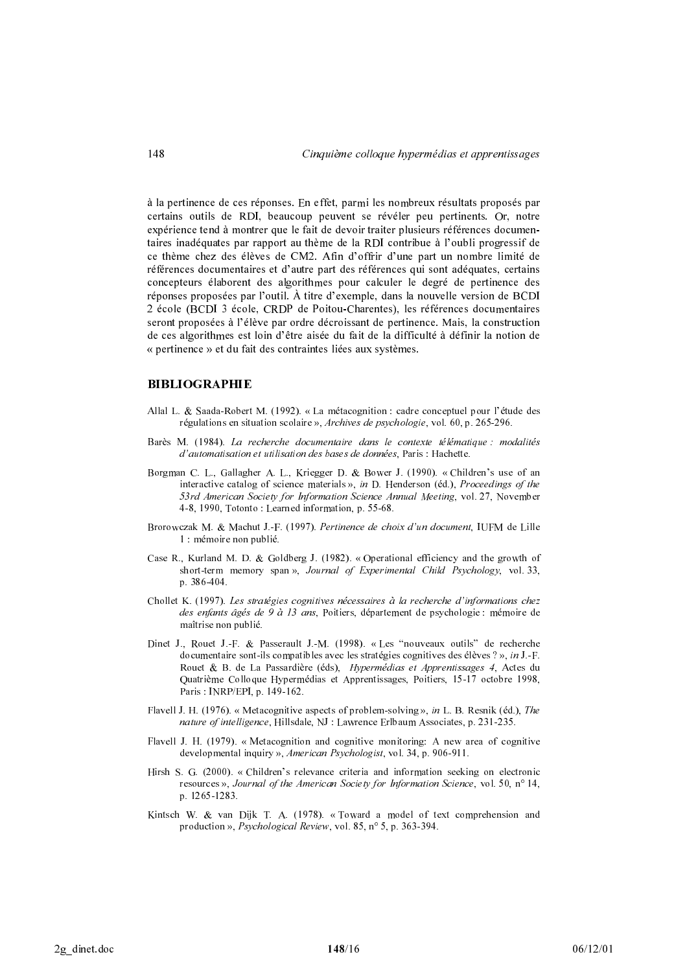à la pertinence de ces réponses. En effet, parmi les nombreux résultats proposés par certains outils de RDI, beaucoup peuvent se révéler peu pertinents. Or, notre expérience tend à montrer que le fait de devoir traiter plusieurs références documentaires inadéquates par rapport au thème de la RDI contribue à l'oubli progressif de ce thème chez des élèves de CM2. Afin d'offrir d'une part un nombre limité de références documentaires et d'autre part des références qui sont adéquates, certains concepteurs élaborent des algorithmes pour calculer le degré de pertinence des réponses proposées par l'outil. À titre d'exemple, dans la nouvelle version de BCDI 2 école (BCDI 3 école, CRDP de Poitou-Charentes), les références documentaires seront proposées à l'élève par ordre décroissant de pertinence. Mais, la construction de ces algorithmes est loin d'être aisée du fait de la difficulté à définir la notion de « pertinence » et du fait des contraintes liées aux systèmes.

### **BIBLIOGRAPHIE**

- Allal L. & Saada-Robert M. (1992). «La métacognition : cadre conceptuel pour l'étude des régulations en situation scolaire », Archives de psychologie, vol. 60, p. 265-296.
- Barès M. (1984). La recherche documentaire dans le contexte télématique : modalités d'automatisation et utilisation des bases de données, Paris : Hachette.
- Borgman C. L., Gallagher A. L., Kriegger D. & Bower J. (1990). « Children's use of an interactive catalog of science materials », in D. Henderson (éd.), Proceedings of the 53rd American Society for Information Science Annual Meeting, vol. 27, November 4-8, 1990, Totonto: Learned information, p. 55-68.
- Brorowczak M. & Machut J.-F. (1997). Pertinence de choix d'un document, IUFM de Lille 1 : mémoire non publié.
- Case R., Kurland M. D. & Goldberg J. (1982). « Operational efficiency and the growth of short-term memory span», Journal of Experimental Child Psychology, vol. 33, p. 386-404.
- Chollet K. (1997). Les stratégies cognitives nécessaires à la recherche d'informations chez des enfants âgés de 9 à 13 ans, Poitiers, département de psychologie : mémoire de maîtrise non publié.
- Dinet J., Rouet J.-F. & Passerault J.-M. (1998). «Les "nouveaux outils" de recherche documentaire sont ils compatibles avec les stratégies cognitives des élèves  $? \rightarrow$ , *in* J. F. Rouet & B. de La Passardière (éds), Hypermédias et Apprentissages 4, Actes du Quatrième Colloque Hypermédias et Apprentissages, Poitiers, 15-17 octobre 1998, Paris: INRP/EPI, p. 149-162.
- Flavell J. H. (1976). «Metacognitive aspects of problem-solving », in L. B. Resnik (éd.), The nature of intelligence, Hillsdale, NJ : Lawrence Erlbaum Associates, p. 231-235.
- Flavell J. H. (1979). « Metacognition and cognitive monitoring: A new area of cognitive developmental inquiry », American Psychologist, vol. 34, p. 906-911.
- Hirsh S. G. (2000). «Children's relevance criteria and information seeking on electronic resources », Journal of the American Society for Information Science, vol. 50, n° 14, p. 1265-1283.
- Kintsch W. & van Dijk T. A. (1978). «Toward a model of text comprehension and production », Psychological Review, vol. 85, n° 5, p. 363-394.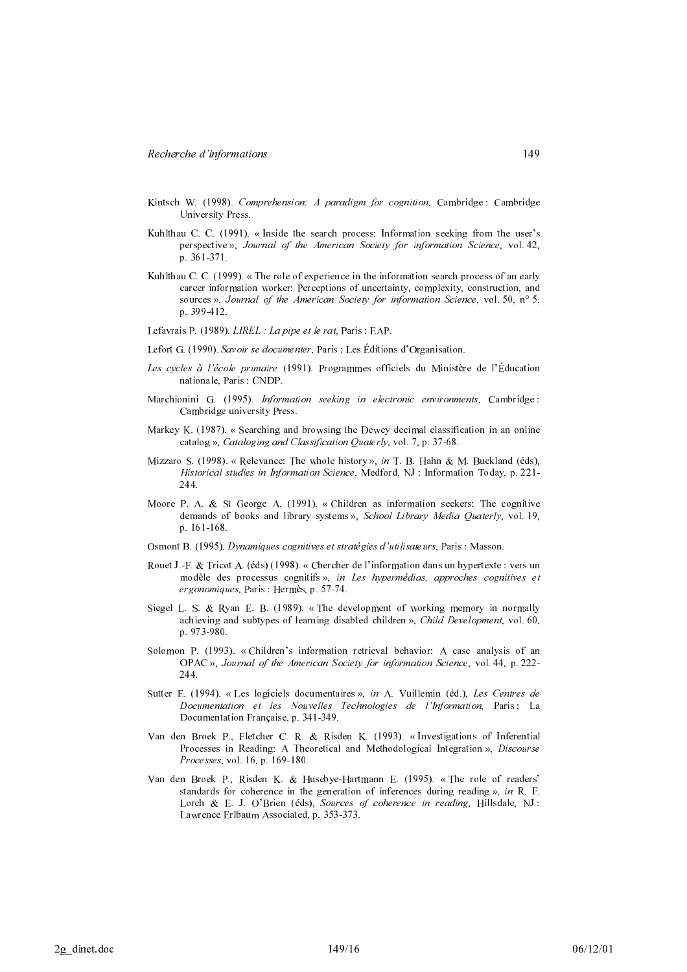- Kintsch W. (1998). Comprehension: A paradigm for cognition. Cambridge: Cambridge University Press.
- Kuhlthau C. C. (1991). « Inside the search process: Information seeking from the user's perspective », Journal of the American Society for information Science, vol. 42, p. 361-371.
- Kuhlthau C. C. (1999). « The role of experience in the information search process of an early career information worker: Perceptions of uncertainty, complexity, construction, and sources », Journal of the American Society for information Science, vol. 50, n° 5, p. 399-412.
- Lefavrais P. (1989). LIREL : La pipe et le rat. Paris : EAP.
- Lefort G. (1990). Savoir se documenter, Paris : Les Éditions d'Organisation.
- Les cycles à l'école primaire (1991). Programmes officiels du Ministère de l'Éducation nationale, Paris : CNDP
- Marchionini G. (1995). Information seeking in electronic environments, Cambridge: Cambridge university Press.
- Markey K. (1987). « Searching and browsing the Dewey decimal classification in an online catalog », Cataloging and Classification Quaterly, vol. 7, p. 37-68.
- Mizzaro S. (1998). «Relevance: The whole history », in T. B. Hahn & M. Buckland (éds), Historical studies in Information Science, Medford, NJ : Information Today, p. 221-244.
- Moore P. A. & St George A. (1991). «Children as information seekers: The cognitive demands of books and library systems», School Library Media Quaterly, vol. 19,  $p.161-168$
- Osmont B. (1995). Dynamiques cognitives et stratégies d'utilisateurs, Paris : Masson.
- Rouet J.-F. & Tricot A. (éds) (1998). « Chercher de l'information dans un hypertexte : vers un modèle des processus cognitifs», in Les hypermédias, approches cognitives et ergonomiques, Paris : Hermès, p. 57-74.
- Siegel L. S. & Ryan E. B. (1989). « The development of working memory in normally achieving and subtypes of learning disabled children », Child Development, vol. 60, p. 973-980.
- Solomon P. (1993). «Children's information retrieval behavior: A case analysis of an OPAC », Journal of the American Society for information Science, vol. 44, p. 222-244.
- Sutter E. (1994). « Les logiciels documentaires », in A. Vuillemin (éd.), Les Centres de Documentation et les Nouvelles Technologies de l'Information, Paris: La Documentation Française, p. 341-349.
- Van den Broek P., Fletcher C. R. & Risden K. (1993). « Investigations of Inferential Processes in Reading: A Theoretical and Methodological Integration », Discourse Processes, vol. 16, p. 169-180.
- Van den Broek P., Risden K. & Husebye-Hartmann E. (1995). « The role of readers' standards for coherence in the generation of inferences during reading  $\delta$ , in R. F. Lorch & E. J. O'Brien (éds), Sources of coherence in reading, Hillsdale, NJ : Lawrence Erlbaum Associated, p. 353-373.